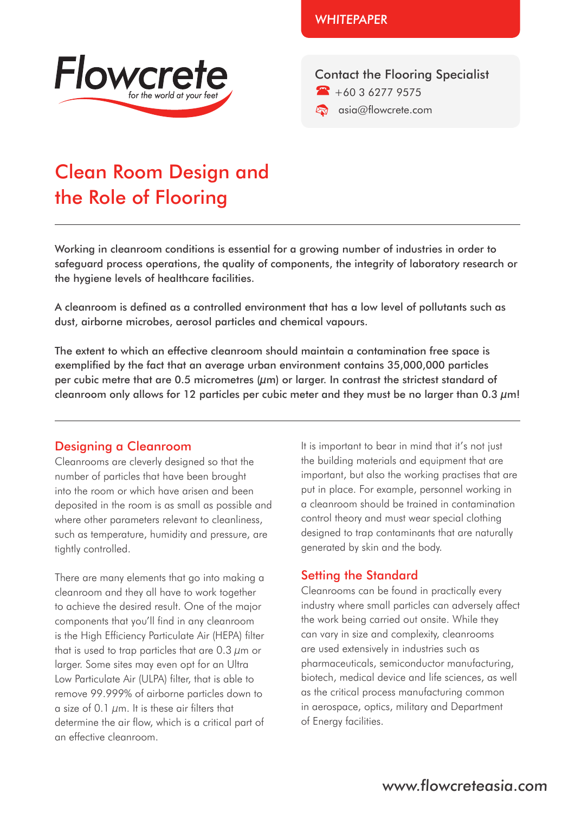

**WHITFPAPFR** 

Contact the Flooring Specialist  $+60362779575$ **A** asia@flowcrete.com

# Clean Room Design and the Role of Flooring

Working in cleanroom conditions is essential for a growing number of industries in order to safeguard process operations, the quality of components, the integrity of laboratory research or the hygiene levels of healthcare facilities.

A cleanroom is defined as a controlled environment that has a low level of pollutants such as dust, airborne microbes, aerosol particles and chemical vapours.

The extent to which an effective cleanroom should maintain a contamination free space is exemplified by the fact that an average urban environment contains 35,000,000 particles per cubic metre that are 0.5 micrometres  $(\mu m)$  or larger. In contrast the strictest standard of cleanroom only allows for 12 particles per cubic meter and they must be no larger than 0.3  $\mu$ m!

#### Designing a Cleanroom

Cleanrooms are cleverly designed so that the number of particles that have been brought into the room or which have arisen and been deposited in the room is as small as possible and where other parameters relevant to cleanliness, such as temperature, humidity and pressure, are tightly controlled.

There are many elements that go into making a cleanroom and they all have to work together to achieve the desired result. One of the major components that you'll find in any cleanroom is the High Efficiency Particulate Air (HEPA) filter that is used to trap particles that are 0.3 μm or larger. Some sites may even opt for an Ultra Low Particulate Air (ULPA) filter, that is able to remove 99.999% of airborne particles down to a size of 0.1 μm. It is these air filters that determine the air flow, which is a critical part of an effective cleanroom.

It is important to bear in mind that it's not just the building materials and equipment that are important, but also the working practises that are put in place. For example, personnel working in a cleanroom should be trained in contamination control theory and must wear special clothing designed to trap contaminants that are naturally generated by skin and the body.

## Setting the Standard

Cleanrooms can be found in practically every industry where small particles can adversely affect the work being carried out onsite. While they can vary in size and complexity, cleanrooms are used extensively in industries such as pharmaceuticals, semiconductor manufacturing, biotech, medical device and life sciences, as well as the critical process manufacturing common in aerospace, optics, military and Department of Energy facilities.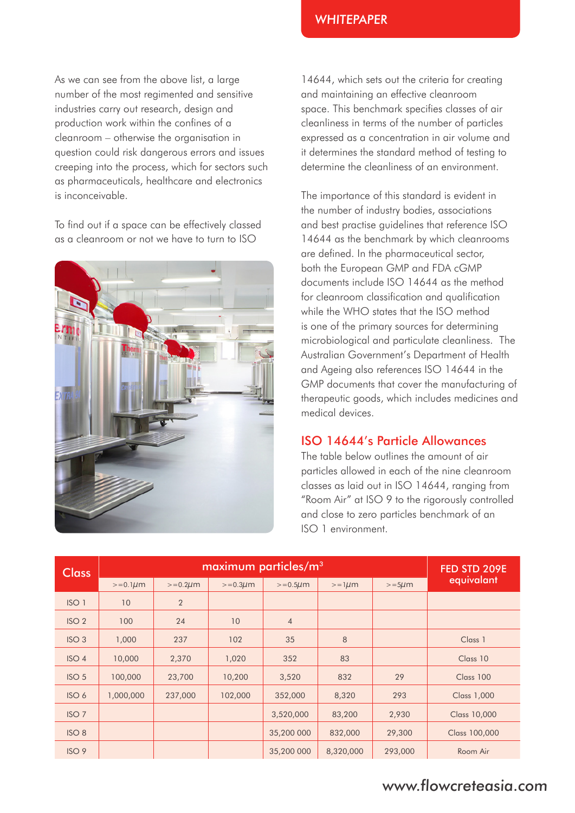As we can see from the above list, a large number of the most regimented and sensitive industries carry out research, design and production work within the confines of a cleanroom – otherwise the organisation in question could risk dangerous errors and issues creeping into the process, which for sectors such as pharmaceuticals, healthcare and electronics is inconceivable.

To find out if a space can be effectively classed as a cleanroom or not we have to turn to ISO



14644, which sets out the criteria for creating and maintaining an effective cleanroom space. This benchmark specifies classes of air cleanliness in terms of the number of particles expressed as a concentration in air volume and it determines the standard method of testing to determine the cleanliness of an environment.

**WHITFPAPFR** 

The importance of this standard is evident in the number of industry bodies, associations and best practise guidelines that reference ISO 14644 as the benchmark by which cleanrooms are defined. In the pharmaceutical sector, both the European GMP and FDA cGMP documents include ISO 14644 as the method for cleanroom classification and qualification while the WHO states that the ISO method is one of the primary sources for determining microbiological and particulate cleanliness. The Australian Government's Department of Health and Ageing also references ISO 14644 in the GMP documents that cover the manufacturing of therapeutic goods, which includes medicines and medical devices.

### ISO 14644's Particle Allowances

The table below outlines the amount of air particles allowed in each of the nine cleanroom classes as laid out in ISO 14644, ranging from "Room Air" at ISO 9 to the rigorously controlled and close to zero particles benchmark of an ISO 1 environment.

| <b>Class</b>     | maximum particles/m <sup>3</sup> |                |               |                |             |            | FED STD 209E       |
|------------------|----------------------------------|----------------|---------------|----------------|-------------|------------|--------------------|
|                  | $>=0.1 \mu m$                    | $>= 0.2 \mu m$ | $>=0.3 \mu m$ | $>= 0.5 \mu m$ | $>=1 \mu m$ | $>=5\mu m$ | equivalant         |
| ISO <sub>1</sub> | 10                               | $\overline{2}$ |               |                |             |            |                    |
| ISO <sub>2</sub> | 100                              | 24             | 10            | $\overline{4}$ |             |            |                    |
| ISO <sub>3</sub> | 1,000                            | 237            | 102           | 35             | 8           |            | Class 1            |
| ISO <sub>4</sub> | 10,000                           | 2,370          | 1,020         | 352            | 83          |            | Class 10           |
| ISO <sub>5</sub> | 100,000                          | 23,700         | 10,200        | 3,520          | 832         | 29         | Class 100          |
| ISO 6            | 1,000,000                        | 237,000        | 102,000       | 352,000        | 8,320       | 293        | <b>Class 1,000</b> |
| ISO <sub>7</sub> |                                  |                |               | 3,520,000      | 83,200      | 2,930      | Class 10,000       |
| ISO <sub>8</sub> |                                  |                |               | 35,200 000     | 832,000     | 29,300     | Class 100,000      |
| ISO9             |                                  |                |               | 35,200 000     | 8,320,000   | 293,000    | Room Air           |

## www.flowcreteasia.com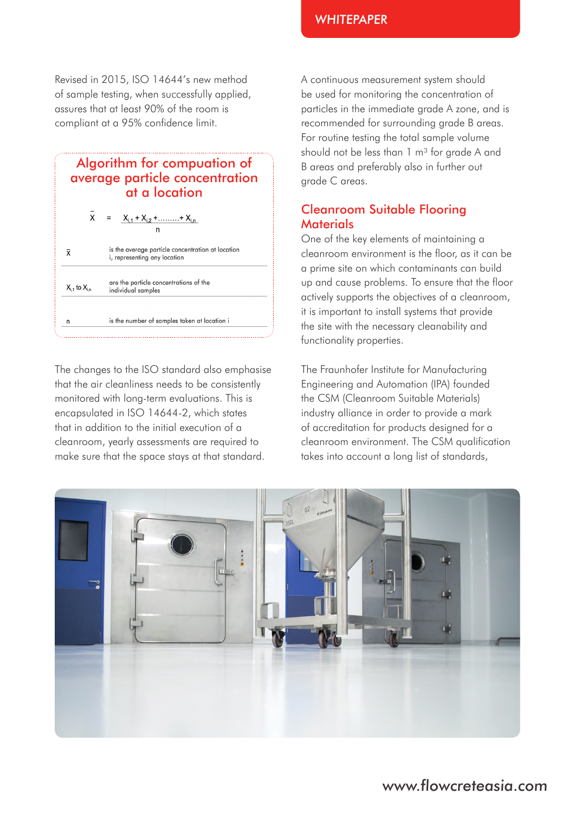Revised in 2015, ISO 14644's new method of sample testing, when successfully applied, assures that at least 90% of the room is compliant at a 95% confidence limit.

## Algorithm for compuation of average particle concentration at a location

$$
\bar{X} = \underbrace{X_{i,1} + X_{i,2} + \dots + X_{i,n}}_{n}
$$

is the average particle concentration at location  $\bar{x}$ i, representing any location

are the particle concentrations of the  $X_{i,1}$  to  $X_{i,n}$ individual samples

 $\overline{p}$ 

is the number of samples taken at location i

The changes to the ISO standard also emphasise that the air cleanliness needs to be consistently monitored with long-term evaluations. This is encapsulated in ISO 14644-2, which states that in addition to the initial execution of a cleanroom, yearly assessments are required to make sure that the space stays at that standard.

A continuous measurement system should be used for monitoring the concentration of particles in the immediate grade A zone, and is recommended for surrounding grade B areas. For routine testing the total sample volume should not be less than  $1 \text{ m}^3$  for grade A and B areas and preferably also in further out grade C areas.

## Cleanroom Suitable Flooring **Materials**

One of the key elements of maintaining a cleanroom environment is the floor, as it can be a prime site on which contaminants can build up and cause problems. To ensure that the floor actively supports the objectives of a cleanroom, it is important to install systems that provide the site with the necessary cleanability and functionality properties.

The Fraunhofer Institute for Manufacturing Engineering and Automation (IPA) founded the CSM (Cleanroom Suitable Materials) industry alliance in order to provide a mark of accreditation for products designed for a cleanroom environment. The CSM qualification takes into account a long list of standards,